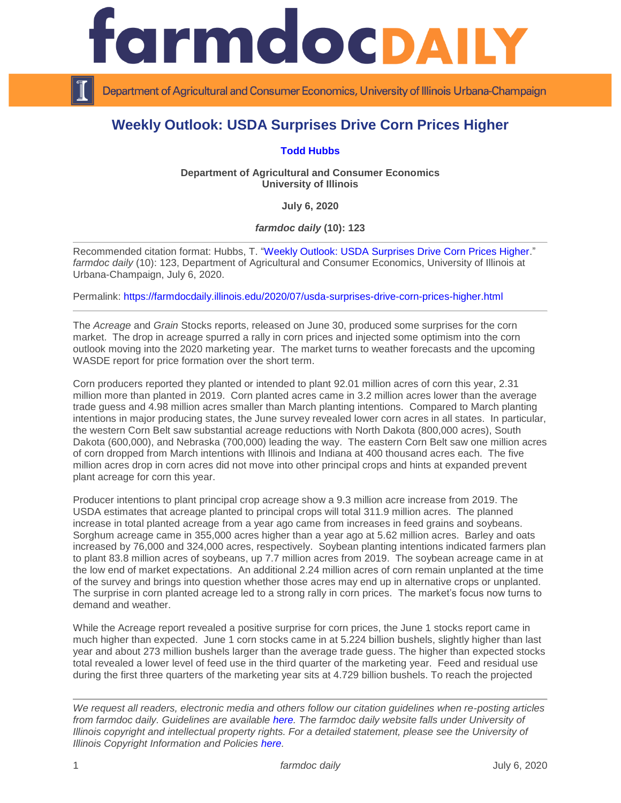

Department of Agricultural and Consumer Economics, University of Illinois Urbana-Champaign

## **Weekly Outlook: USDA Surprises Drive Corn Prices Higher**

## **[Todd Hubbs](https://ace.illinois.edu/directory/jhubbs3)**

**Department of Agricultural and Consumer Economics University of Illinois**

**July 6, 2020**

## *farmdoc daily* **(10): 123**

Recommended citation format: Hubbs, T. ["Weekly Outlook: USDA Surprises Drive Corn Prices Higher.](https://farmdocdaily.illinois.edu/2020/07/usda-surprises-drive-corn-prices-higher.html)" *farmdoc daily* (10): 123, Department of Agricultural and Consumer Economics, University of Illinois at Urbana-Champaign, July 6, 2020.

Permalink:<https://farmdocdaily.illinois.edu/2020/07/usda-surprises-drive-corn-prices-higher.html>

The *Acreage* and *Grain* Stocks reports, released on June 30, produced some surprises for the corn market. The drop in acreage spurred a rally in corn prices and injected some optimism into the corn outlook moving into the 2020 marketing year. The market turns to weather forecasts and the upcoming WASDE report for price formation over the short term.

Corn producers reported they planted or intended to plant 92.01 million acres of corn this year, 2.31 million more than planted in 2019. Corn planted acres came in 3.2 million acres lower than the average trade guess and 4.98 million acres smaller than March planting intentions. Compared to March planting intentions in major producing states, the June survey revealed lower corn acres in all states. In particular, the western Corn Belt saw substantial acreage reductions with North Dakota (800,000 acres), South Dakota (600,000), and Nebraska (700,000) leading the way. The eastern Corn Belt saw one million acres of corn dropped from March intentions with Illinois and Indiana at 400 thousand acres each. The five million acres drop in corn acres did not move into other principal crops and hints at expanded prevent plant acreage for corn this year.

Producer intentions to plant principal crop acreage show a 9.3 million acre increase from 2019. The USDA estimates that acreage planted to principal crops will total 311.9 million acres. The planned increase in total planted acreage from a year ago came from increases in feed grains and soybeans. Sorghum acreage came in 355,000 acres higher than a year ago at 5.62 million acres. Barley and oats increased by 76,000 and 324,000 acres, respectively. Soybean planting intentions indicated farmers plan to plant 83.8 million acres of soybeans, up 7.7 million acres from 2019. The soybean acreage came in at the low end of market expectations. An additional 2.24 million acres of corn remain unplanted at the time of the survey and brings into question whether those acres may end up in alternative crops or unplanted. The surprise in corn planted acreage led to a strong rally in corn prices. The market's focus now turns to demand and weather.

While the Acreage report revealed a positive surprise for corn prices, the June 1 stocks report came in much higher than expected. June 1 corn stocks came in at 5.224 billion bushels, slightly higher than last year and about 273 million bushels larger than the average trade guess. The higher than expected stocks total revealed a lower level of feed use in the third quarter of the marketing year. Feed and residual use during the first three quarters of the marketing year sits at 4.729 billion bushels. To reach the projected

*We request all readers, electronic media and others follow our citation guidelines when re-posting articles from farmdoc daily. Guidelines are available [here.](http://farmdocdaily.illinois.edu/citationguide.html) The farmdoc daily website falls under University of Illinois copyright and intellectual property rights. For a detailed statement, please see the University of Illinois Copyright Information and Policies [here.](http://www.cio.illinois.edu/policies/copyright/)*